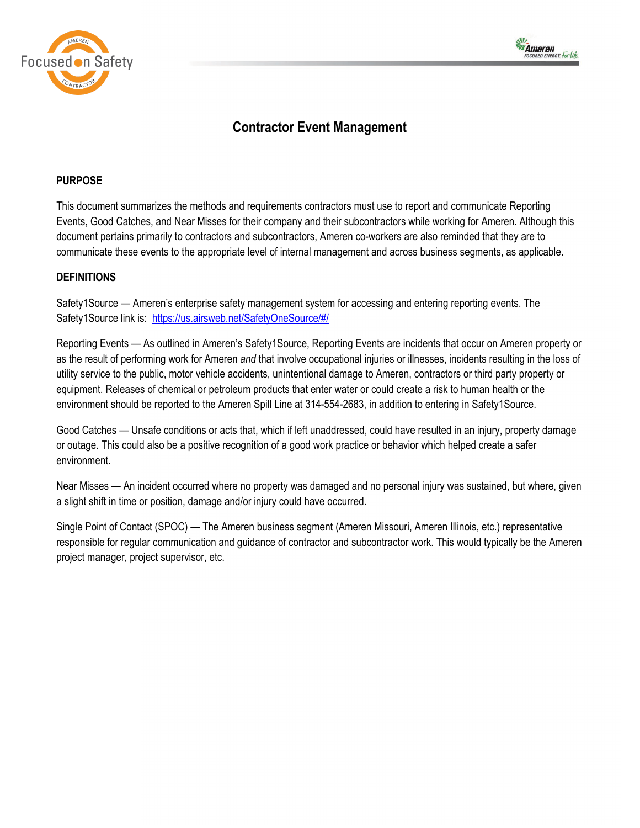



# **Contractor Event Management**

# **PURPOSE**

This document summarizes the methods and requirements contractors must use to report and communicate Reporting Events, Good Catches, and Near Misses for their company and their subcontractors while working for Ameren. Although this document pertains primarily to contractors and subcontractors, Ameren co-workers are also reminded that they are to communicate these events to the appropriate level of internal management and across business segments, as applicable.

# **DEFINITIONS**

Safety1Source — Ameren's enterprise safety management system for accessing and entering reporting events. The Safety1Source link is: <https://us.airsweb.net/SafetyOneSource/#/>

Reporting Events — As outlined in Ameren's Safety1Source, Reporting Events are incidents that occur on Ameren property or as the result of performing work for Ameren *and* that involve occupational injuries or illnesses, incidents resulting in the loss of utility service to the public, motor vehicle accidents, unintentional damage to Ameren, contractors or third party property or equipment. Releases of chemical or petroleum products that enter water or could create a risk to human health or the environment should be reported to the Ameren Spill Line at 314-554-2683, in addition to entering in Safety1Source.

Good Catches — Unsafe conditions or acts that, which if left unaddressed, could have resulted in an injury, property damage or outage. This could also be a positive recognition of a good work practice or behavior which helped create a safer environment.

Near Misses — An incident occurred where no property was damaged and no personal injury was sustained, but where, given a slight shift in time or position, damage and/or injury could have occurred.

Single Point of Contact (SPOC) — The Ameren business segment (Ameren Missouri, Ameren Illinois, etc.) representative responsible for regular communication and guidance of contractor and subcontractor work. This would typically be the Ameren project manager, project supervisor, etc.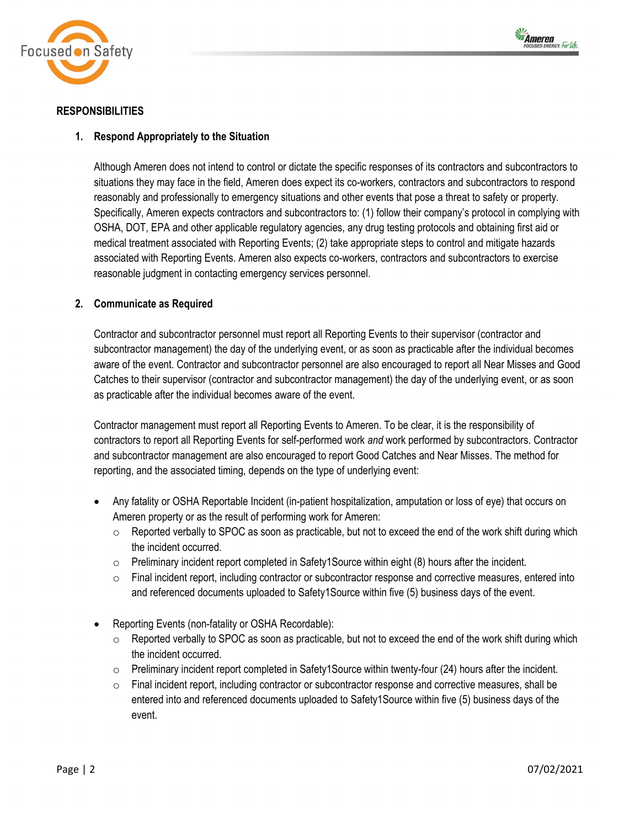



# **RESPONSIBILITIES**

# **1. Respond Appropriately to the Situation**

Although Ameren does not intend to control or dictate the specific responses of its contractors and subcontractors to situations they may face in the field, Ameren does expect its co-workers, contractors and subcontractors to respond reasonably and professionally to emergency situations and other events that pose a threat to safety or property. Specifically, Ameren expects contractors and subcontractors to: (1) follow their company's protocol in complying with OSHA, DOT, EPA and other applicable regulatory agencies, any drug testing protocols and obtaining first aid or medical treatment associated with Reporting Events; (2) take appropriate steps to control and mitigate hazards associated with Reporting Events. Ameren also expects co-workers, contractors and subcontractors to exercise reasonable judgment in contacting emergency services personnel.

# **2. Communicate as Required**

Contractor and subcontractor personnel must report all Reporting Events to their supervisor (contractor and subcontractor management) the day of the underlying event, or as soon as practicable after the individual becomes aware of the event. Contractor and subcontractor personnel are also encouraged to report all Near Misses and Good Catches to their supervisor (contractor and subcontractor management) the day of the underlying event, or as soon as practicable after the individual becomes aware of the event.

Contractor management must report all Reporting Events to Ameren. To be clear, it is the responsibility of contractors to report all Reporting Events for self-performed work *and* work performed by subcontractors. Contractor and subcontractor management are also encouraged to report Good Catches and Near Misses. The method for reporting, and the associated timing, depends on the type of underlying event:

- Any fatality or OSHA Reportable Incident (in-patient hospitalization, amputation or loss of eye) that occurs on Ameren property or as the result of performing work for Ameren:
	- $\circ$  Reported verbally to SPOC as soon as practicable, but not to exceed the end of the work shift during which the incident occurred.
	- o Preliminary incident report completed in Safety1Source within eight (8) hours after the incident.
	- $\circ$  Final incident report, including contractor or subcontractor response and corrective measures, entered into and referenced documents uploaded to Safety1Source within five (5) business days of the event.
- Reporting Events (non-fatality or OSHA Recordable):
	- $\circ$  Reported verbally to SPOC as soon as practicable, but not to exceed the end of the work shift during which the incident occurred.
	- $\circ$  Preliminary incident report completed in Safety1Source within twenty-four (24) hours after the incident.
	- o Final incident report, including contractor or subcontractor response and corrective measures, shall be entered into and referenced documents uploaded to Safety1Source within five (5) business days of the event.